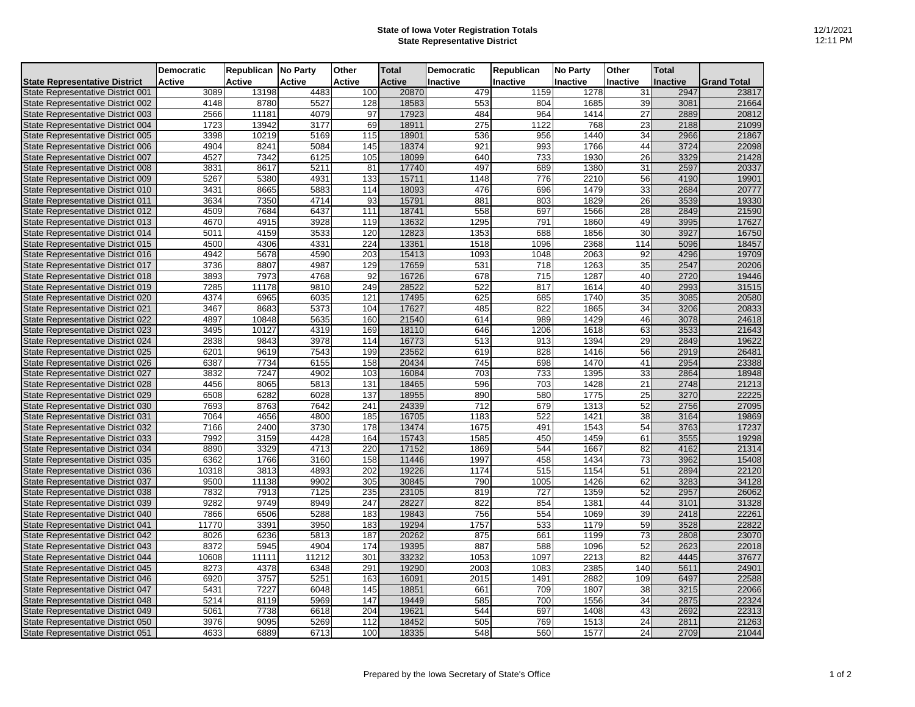## **State of Iowa Voter Registration Totals State Representative District**

|                                          | <b>Democratic</b> | Republican No Party |        | Other  | <b>Total</b>  | <b>Democratic</b> | Republican | <b>No Party</b> | Other           | <b>Total</b> |                    |
|------------------------------------------|-------------------|---------------------|--------|--------|---------------|-------------------|------------|-----------------|-----------------|--------------|--------------------|
| <b>State Representative District</b>     | <b>Active</b>     | Active              | Active | Active | <b>Active</b> | Inactive          | Inactive   | Inactive        | Inactive        | Inactive     | <b>Grand Total</b> |
| State Representative District 001        | 3089              | 13198               | 4483   | 100    | 20870         | 479               | 1159       | 1278            | 31              | 2947         | 23817              |
| State Representative District 002        | 4148              | 8780                | 5527   | 128    | 18583         | 553               | 804        | 1685            | 39              | 3081         | 21664              |
| State Representative District 003        | 2566              | 11181               | 4079   | 97     | 17923         | 484               | 964        | 1414            | 27              | 2889         | 20812              |
| State Representative District 004        | 1723              | 13942               | 3177   | 69     | 18911         | 275               | 1122       | 768             | 23              | 2188         | 21099              |
| State Representative District 005        | 3398              | 10219               | 5169   | 115    | 18901         | 536               | 956        | 1440            | 34              | 2966         | 21867              |
| State Representative District 006        | 4904              | 8241                | 5084   | 145    | 18374         | 921               | 993        | 1766            | 44              | 3724         | 22098              |
| State Representative District 007        | 4527              | 7342                | 6125   | 105    | 18099         | 640               | 733        | 1930            | 26              | 3329         | 21428              |
| State Representative District 008        | 3831              | 8617                | 5211   | 81     | 17740         | 497               | 689        | 1380            | 31              | 2597         | 20337              |
| State Representative District 009        | 5267              | 5380                | 4931   | 133    | 15711         | 1148              | 776        | 2210            | 56              | 4190         | 19901              |
| State Representative District 010        | 3431              | 8665                | 5883   | 114    | 18093         | 476               | 696        | 1479            | 33              | 2684         | 20777              |
| State Representative District 011        | 3634              | 7350                | 4714   | 93     | 15791         | 881               | 803        | 1829            | 26              | 3539         | 19330              |
| State Representative District 012        | 4509              | 7684                | 6437   | 111    | 18741         | 558               | 697        | 1566            | 28              | 2849         | 21590              |
| State Representative District 013        | 4670              | 4915                | 3928   | 119    | 13632         | 1295              | 791        | 1860            | 49              | 3995         | 17627              |
| State Representative District 014        | 5011              | 4159                | 3533   | 120    | 12823         | 1353              | 688        | 1856            | 30              | 3927         | 16750              |
| State Representative District 015        | 4500              | 4306                | 4331   | 224    | 13361         | 1518              | 1096       | 2368            | 114             | 5096         | 18457              |
| State Representative District 016        | 4942              | 5678                | 4590   | 203    | 15413         | 1093              | 1048       | 2063            | 92              | 4296         | 19709              |
| State Representative District 017        | 3736              | 8807                | 4987   | 129    | 17659         | 531               | 718        | 1263            | 35              | 2547         | 20206              |
| State Representative District 018        | 3893              | 7973                | 4768   | 92     | 16726         | 678               | 715        | 1287            | 40              | 2720         | 19446              |
| State Representative District 019        | 7285              | 11178               | 9810   | 249    | 28522         | 522               | 817        | 1614            | 40              | 2993         | 31515              |
| State Representative District 020        | 4374              | 6965                | 6035   | 121    | 17495         | 625               | 685        | 1740            | 35              | 3085         | 20580              |
| <b>State Representative District 021</b> | 3467              | 8683                | 5373   | 104    | 17627         | 485               | 822        | 1865            | 34              | 3206         | 20833              |
| State Representative District 022        | 4897              | 10848               | 5635   | 160    | 21540         | 614               | 989        | 1429            | 46              | 3078         | 24618              |
| State Representative District 023        | 3495              | 10127               | 4319   | 169    | 18110         | 646               | 1206       | 1618            | 63              | 3533         | 21643              |
| State Representative District 024        | 2838              | 9843                | 3978   | 114    | 16773         | 513               | 913        | 1394            | 29              | 2849         | 19622              |
| State Representative District 025        | 6201              | 9619                | 7543   | 199    | 23562         | 619               | 828        | 1416            | 56              | 2919         | 26481              |
| State Representative District 026        | 6387              | 7734                | 6155   | 158    | 20434         | 745               | 698        | 1470            | 41              | 2954         | 23388              |
| State Representative District 027        | 3832              | 7247                | 4902   | 103    | 16084         | 703               | 733        | 1395            | 33              | 2864         | 18948              |
| State Representative District 028        | 4456              | 8065                | 5813   | 131    | 18465         | 596               | 703        | 1428            | 21              | 2748         | 21213              |
| State Representative District 029        | 6508              | 6282                | 6028   | 137    | 18955         | 890               | 580        | 1775            | 25              | 3270         | 22225              |
| State Representative District 030        | 7693              | 8763                | 7642   | 241    | 24339         | 712               | 679        | 1313            | 52              | 2756         | 27095              |
| State Representative District 031        | 7064              | 4656                | 4800   | 185    | 16705         | 1183              | 522        | 1421            | 38              | 3164         | 19869              |
| State Representative District 032        | 7166              | 2400                | 3730   | 178    | 13474         | 1675              | 491        | 1543            | 54              | 3763         | 17237              |
| State Representative District 033        | 7992              | 3159                | 4428   | 164    | 15743         | 1585              | 450        | 1459            | 61              | 3555         | 19298              |
| State Representative District 034        | 8890              | 3329                | 4713   | 220    | 17152         | 1869              | 544        | 1667            | 82              | 4162         | 21314              |
| State Representative District 035        | 6362              | 1766                | 3160   | 158    | 11446         | 1997              | 458        | 1434            | 73              | 3962         | 15408              |
| State Representative District 036        | 10318             | 3813                | 4893   | 202    | 19226         | 1174              | 515        | 1154            | 51              | 2894         | 22120              |
| State Representative District 037        | 9500              | 11138               | 9902   | 305    | 30845         | 790               | 1005       | 1426            | 62              | 3283         | 34128              |
| State Representative District 038        | 7832              | 7913                | 7125   | 235    | 23105         | 819               | 727        | 1359            | 52              | 2957         | 26062              |
| State Representative District 039        | 9282              | 9749                | 8949   | 247    | 28227         | 822               | 854        | 1381            | 44              | 3101         | 31328              |
| State Representative District 040        | 7866              | 6506                | 5288   | 183    | 19843         | 756               | 554        | 1069            | 39              | 2418         | 22261              |
| <b>State Representative District 041</b> | 11770             | 3391                | 3950   | 183    | 19294         | 1757              | 533        | 1179            | 59              | 3528         | 22822              |
| State Representative District 042        | 8026              | 6236                | 5813   | 187    | 20262         | 875               | 661        | 1199            | 73              | 2808         | 23070              |
| State Representative District 043        | 8372              | 5945                | 4904   | 174    | 19395         | 887               | 588        | 1096            | 52              | 2623         | 22018              |
| State Representative District 044        | 10608             | 11111               | 11212  | 301    | 33232         | 1053              | 1097       | 2213            | 82              | 4445         | 37677              |
| State Representative District 045        | 8273              | 4378                | 6348   | 291    | 19290         | 2003              | 1083       | 2385            | 140             | 5611         | 24901              |
| State Representative District 046        | 6920              | 3757                | 5251   | 163    | 16091         | 2015              | 1491       | 2882            | 109             | 6497         | 22588              |
| State Representative District 047        | 5431              | 7227                | 6048   | 145    | 18851         | 661               | 709        | 1807            | 38              | 3215         | 22066              |
| State Representative District 048        | 5214              | 8119                | 5969   | 147    | 19449         | 585               | 700        | 1556            | $\overline{34}$ | 2875         | 22324              |
| State Representative District 049        | 5061              | 7738                | 6618   | 204    | 19621         | 544               | 697        | 1408            | 43              | 2692         | 22313              |
| State Representative District 050        | 3976              | 9095                | 5269   | 112    | 18452         | 505               | 769        | 1513            | $\overline{24}$ | 2811         | 21263              |
| State Representative District 051        | 4633              | 6889                | 6713   | 100    | 18335         | 548               | 560        | 1577            | 24              | 2709         | 21044              |